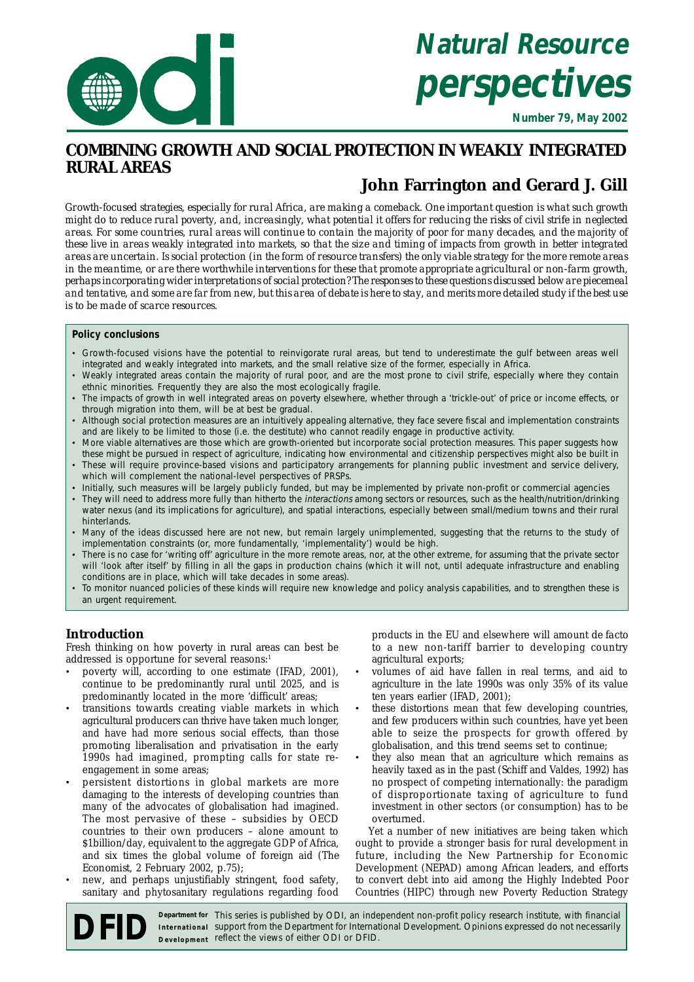

# **Natural Resource perspectives**

**Number 79, May 2002**

# **COMBINING GROWTH AND SOCIAL PROTECTION IN WEAKLY INTEGRATED RURAL AREAS**

# **John Farrington and Gerard J. Gill**

*Growth-focused strategies, especially for rural Africa, are making a comeback. One important question is what such growth might do to reduce rural poverty, and, increasingly, what potential it offers for reducing the risks of civil strife in neglected areas. For some countries, rural areas will continue to contain the majority of poor for many decades, and the majority of these live in areas weakly integrated into markets, so that the size and timing of impacts from growth in better integrated areas are uncertain. Is social protection (in the form of resource transfers) the only viable strategy for the more remote areas in the meantime, or are there worthwhile interventions for these that promote appropriate agricultural or non-farm growth, perhaps incorporating wider interpretations of social protection? The responses to these questions discussed below are piecemeal and tentative, and some are far from new, but this area of debate is here to stay, and merits more detailed study if the best use is to be made of scarce resources.*

## **Policy conclusions**

- Growth-focused visions have the potential to reinvigorate rural areas, but tend to underestimate the gulf between areas well integrated and weakly integrated into markets, and the small relative size of the former, especially in Africa.
- Weakly integrated areas contain the majority of rural poor, and are the most prone to civil strife, especially where they contain ethnic minorities. Frequently they are also the most ecologically fragile.
- The impacts of growth in well integrated areas on poverty elsewhere, whether through a 'trickle-out' of price or income effects, or through migration into them, will be at best be gradual.
- Although social protection measures are an intuitively appealing alternative, they face severe fiscal and implementation constraints and are likely to be limited to those (i.e. the destitute) who cannot readily engage in productive activity.
- More viable alternatives are those which are growth-oriented but incorporate social protection measures. This paper suggests how these might be pursued in respect of agriculture, indicating how environmental and citizenship perspectives might also be built in
- These will require province-based visions and participatory arrangements for planning public investment and service delivery, which will complement the national-level perspectives of PRSPs.
- Initially, such measures will be largely publicly funded, but may be implemented by private non-profit or commercial agencies • They will need to address more fully than hitherto the interactions among sectors or resources, such as the health/nutrition/drinking water nexus (and its implications for agriculture), and spatial interactions, especially between small/medium towns and their rural hinterlands.
- Many of the ideas discussed here are not new, but remain largely unimplemented, suggesting that the returns to the study of implementation constraints (or, more fundamentally, 'implementality') would be high.
- There is no case for 'writing off' agriculture in the more remote areas, nor, at the other extreme, for assuming that the private sector will 'look after itself' by filling in all the gaps in production chains (which it will not, until adequate infrastructure and enabling conditions are in place, which will take decades in some areas).
- To monitor nuanced policies of these kinds will require new knowledge and policy analysis capabilities, and to strengthen these is an urgent requirement.

# **Introduction**

Fresh thinking on how poverty in rural areas can best be addressed is opportune for several reasons:<sup>1</sup>

- poverty will, according to one estimate (IFAD, 2001), continue to be predominantly rural until 2025, and is predominantly located in the more 'difficult' areas;
- transitions towards creating viable markets in which agricultural producers can thrive have taken much longer, and have had more serious social effects, than those promoting liberalisation and privatisation in the early 1990s had imagined, prompting calls for state reengagement in some areas;
- persistent distortions in global markets are more damaging to the interests of developing countries than many of the advocates of globalisation had imagined. The most pervasive of these – subsidies by OECD countries to their own producers – alone amount to \$1billion/day, equivalent to the aggregate GDP of Africa, and six times the global volume of foreign aid (*The Economist*, 2 February 2002, p.75);
- new, and perhaps unjustifiably stringent, food safety, sanitary and phytosanitary regulations regarding food

products in the EU and elsewhere will amount *de facto* to a new non-tariff barrier to developing country agricultural exports;

- volumes of aid have fallen in real terms, and aid to agriculture in the late 1990s was only 35% of its value ten years earlier (IFAD, 2001);
- these distortions mean that few developing countries, and few producers within such countries, have yet been able to seize the prospects for growth offered by globalisation, and this trend seems set to continue;
- they also mean that an agriculture which remains as heavily taxed as in the past (Schiff and Valdes, 1992) has no prospect of competing internationally: the paradigm of disproportionate taxing of agriculture to fund investment in other sectors (or consumption) has to be overturned.

Yet a number of new initiatives are being taken which ought to provide a stronger basis for rural development in future, including the New Partnership for Economic Development (NEPAD) among African leaders, and efforts to convert debt into aid among the Highly Indebted Poor Countries (HIPC) through new Poverty Reduction Strategy

**DEFID** Department for This series is published by ODI, an independent non-profit policy research institute, with financial support from the Department for International Development. Opinions expressed do not necessarily b support from the Department for International Development. Opinions expressed do not necessarily **IDED** Department for This series is published by ODI, an inde<br>Development reflect the views of either ODI or DFID. Department for This series is published by ODI, an independent non-profit policy research institute, with financial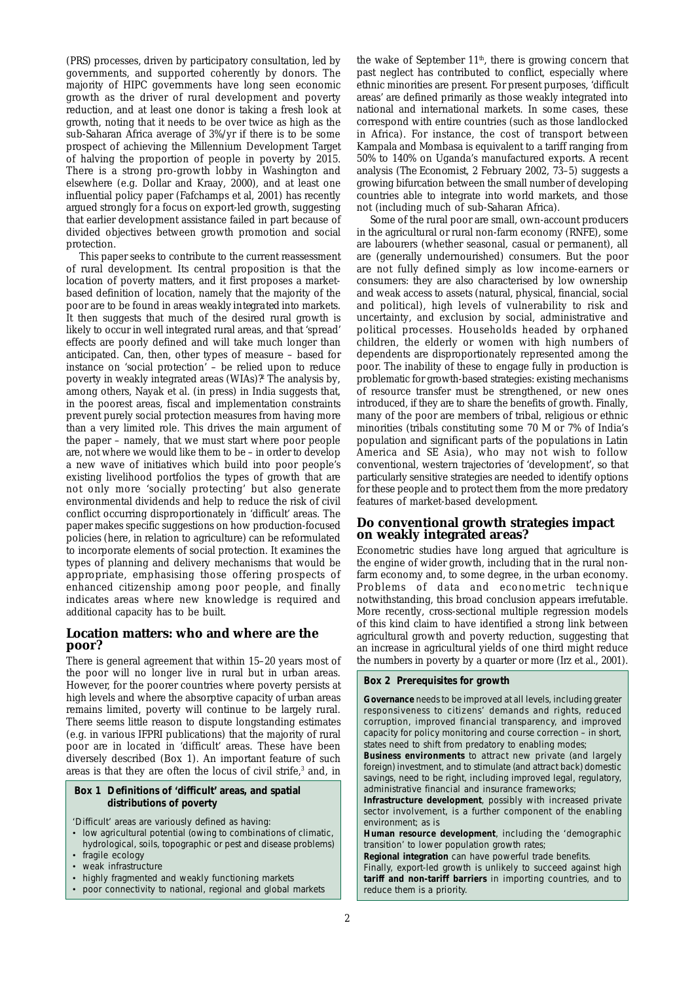(PRS) processes, driven by participatory consultation, led by governments, and supported coherently by donors. The majority of HIPC governments have long seen economic growth as the driver of rural development and poverty reduction, and at least one donor is taking a fresh look at growth, noting that it needs to be over twice as high as the sub-Saharan Africa average of 3%/yr if there is to be some prospect of achieving the Millennium Development Target of halving the proportion of people in poverty by 2015. There is a strong pro-growth lobby in Washington and elsewhere (e.g. Dollar and Kraay, 2000), and at least one influential policy paper (Fafchamps et al, 2001) has recently argued strongly for a focus on export-led growth, suggesting that earlier development assistance failed in part because of divided objectives between growth promotion and social protection.

This paper seeks to contribute to the current reassessment of rural development. Its central proposition is that the *location* of poverty matters, and it first proposes a marketbased definition of location, namely that the majority of the poor are to be found in areas *weakly integrated* into markets. It then suggests that much of the desired rural growth is likely to occur in well integrated rural areas, and that 'spread' effects are poorly defined and will take much longer than anticipated. Can, then, other types of measure – based for instance on 'social protection' – be relied upon to reduce poverty in weakly integrated areas (WIAs)?<sup>2</sup> The analysis by, among others, Nayak et al. (in press) in India suggests that, in the poorest areas, fiscal and implementation constraints prevent purely social protection measures from having more than a very limited role. This drives the main argument of the paper – namely, that we must start where poor people are, not where we would like them to be – in order to develop a new wave of initiatives which build into poor people's existing livelihood portfolios the types of growth that are not only more 'socially protecting' but also generate environmental dividends and help to reduce the risk of civil conflict occurring disproportionately in 'difficult' areas. The paper makes specific suggestions on how production-focused policies (here, in relation to agriculture) can be reformulated to incorporate elements of social protection. It examines the types of planning and delivery mechanisms that would be appropriate, emphasising those offering prospects of enhanced citizenship among poor people, and finally indicates areas where new knowledge is required and additional capacity has to be built.

# **Location matters: who and where are the poor?**

There is general agreement that within 15–20 years most of the poor will no longer live in rural but in urban areas. However, for the poorer countries where poverty persists at high levels and where the absorptive capacity of urban areas remains limited, poverty will continue to be largely rural. There seems little reason to dispute longstanding estimates (e.g. in various IFPRI publications) that the majority of rural poor are in located in 'difficult' areas. These have been diversely described (Box 1). An important feature of such areas is that they are often the locus of civil strife,<sup>3</sup> and, in

## **Box 1 Definitions of 'difficult' areas, and spatial distributions of poverty**

'Difficult' areas are variously defined as having:

- low agricultural potential (owing to combinations of climatic, hydrological, soils, topographic or pest and disease problems)
- fragile ecology
- weak infrastructure
- highly fragmented and weakly functioning markets
- poor connectivity to national, regional and global markets

the wake of September  $11<sup>th</sup>$ , there is growing concern that past neglect has contributed to conflict, especially where ethnic minorities are present. For present purposes, 'difficult areas' are defined primarily as those weakly integrated into national and international markets. In some cases, these correspond with entire countries (such as those landlocked in Africa). For instance, the cost of transport between Kampala and Mombasa is equivalent to a tariff ranging from 50% to 140% on Uganda's manufactured exports. A recent analysis (*The Economist,* 2 February 2002, 73–5) suggests a growing bifurcation between the small number of developing countries able to integrate into world markets, and those not (including much of sub-Saharan Africa).

Some of the rural poor are small, own-account producers in the agricultural or rural non-farm economy (RNFE), some are labourers (whether seasonal, casual or permanent), all are (generally undernourished) consumers. But the poor are not fully defined simply as low income-earners or consumers: they are also characterised by low ownership and weak access to assets (natural, physical, financial, social and political), high levels of vulnerability to risk and uncertainty, and exclusion by social, administrative and political processes. Households headed by orphaned children, the elderly or women with high numbers of dependents are disproportionately represented among the poor. The inability of these to engage fully in production is problematic for growth-based strategies: existing mechanisms of resource transfer must be strengthened, or new ones introduced, if they are to share the benefits of growth. Finally, many of the poor are members of tribal, religious or ethnic minorities (tribals constituting some 70 M or 7% of India's population and significant parts of the populations in Latin America and SE Asia), who may not wish to follow conventional, western trajectories of 'development', so that particularly sensitive strategies are needed to identify options for these people and to protect them from the more predatory features of market-based development.

# **Do conventional growth strategies impact on weakly integrated areas?**

Econometric studies have long argued that agriculture is the engine of wider growth, including that in the rural nonfarm economy and, to some degree, in the urban economy. Problems of data and econometric technique notwithstanding, this broad conclusion appears irrefutable. More recently, cross-sectional multiple regression models of this kind claim to have identified a strong link between agricultural growth and poverty reduction, suggesting that an increase in agricultural yields of one third might reduce the numbers in poverty by a quarter or more (Irz et al., 2001).

#### **Box 2 Prerequisites for growth**

**Governance** needs to be improved at all levels, including greater responsiveness to citizens' demands and rights, reduced corruption, improved financial transparency, and improved capacity for policy monitoring and course correction – in short, states need to shift from predatory to enabling modes;

**Business environments** to attract new private (and largely foreign) investment, and to stimulate (and attract back) domestic savings, need to be right, including improved legal, regulatory, administrative financial and insurance frameworks;

**Infrastructure development**, possibly with increased private sector involvement, is a further component of the enabling environment; as is

**Human resource development**, including the 'demographic transition' to lower population growth rates;

**Regional integration** can have powerful trade benefits.

Finally, export-led growth is unlikely to succeed against high **tariff and non-tariff barriers** in importing countries, and to reduce them is a priority.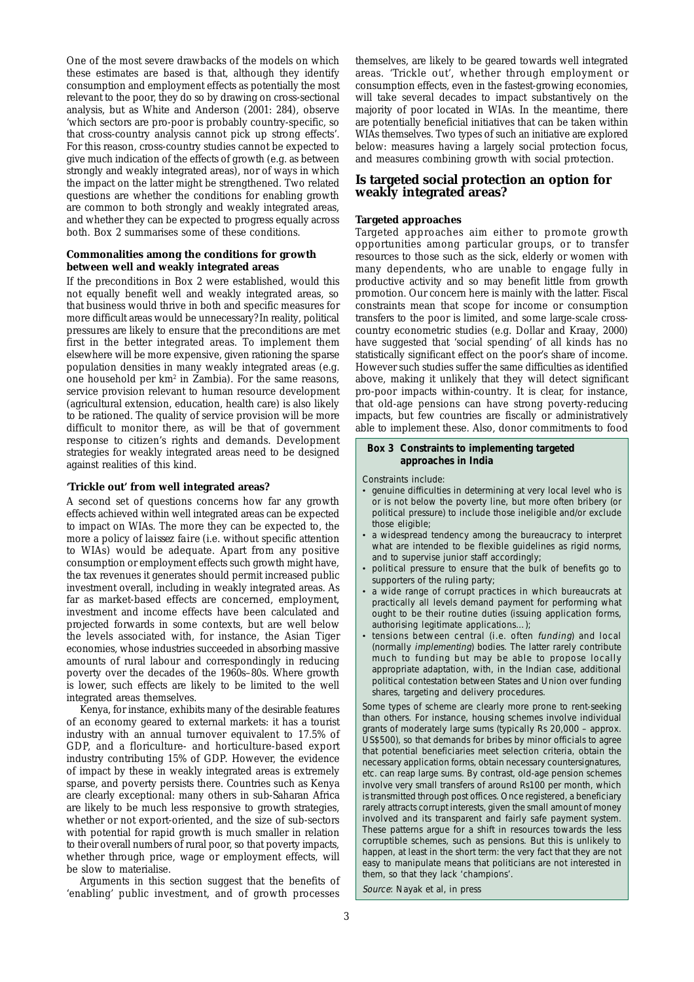One of the most severe drawbacks of the models on which these estimates are based is that, although they identify consumption and employment effects as potentially the most relevant to the poor, they do so by drawing on cross-sectional analysis, but as White and Anderson (2001: 284), observe 'which sectors are pro-poor is probably country-specific, so that cross-country analysis cannot pick up strong effects'. For this reason, cross-country studies cannot be expected to give much indication of the effects of growth (e.g. as between strongly and weakly integrated areas), nor of ways in which the impact on the latter might be strengthened. Two related questions are whether the conditions for enabling growth are common to both strongly and weakly integrated areas, and whether they can be expected to progress equally across both. Box 2 summarises some of these conditions.

#### **Commonalities among the conditions for growth between well and weakly integrated areas**

If the preconditions in Box 2 were established, would this not equally benefit well and weakly integrated areas, so that business would thrive in both and specific measures for more difficult areas would be unnecessary? In reality, political pressures are likely to ensure that the preconditions are met first in the better integrated areas. To implement them elsewhere will be more expensive, given rationing the sparse population densities in many weakly integrated areas (e.g. one household per km<sup>2</sup> in Zambia). For the same reasons, service provision relevant to human resource development (agricultural extension, education, health care) is also likely to be rationed. The quality of service provision will be more difficult to monitor there, as will be that of government response to citizen's rights and demands. Development strategies for weakly integrated areas need to be designed against realities of this kind.

#### **'Trickle out' from well integrated areas?**

A second set of questions concerns how far any growth effects achieved within well integrated areas can be expected to impact on WIAs. The more they can be expected to, the more a policy of *laissez faire* (i.e. without specific attention to WIAs) would be adequate. Apart from any positive consumption or employment effects such growth might have, the tax revenues it generates should permit increased public investment overall, including in weakly integrated areas. As far as market-based effects are concerned, employment, investment and income effects have been calculated and projected forwards in some contexts, but are well below the levels associated with, for instance, the Asian Tiger economies, whose industries succeeded in absorbing massive amounts of rural labour and correspondingly in reducing poverty over the decades of the 1960s–80s. Where growth is lower, such effects are likely to be limited to the well integrated areas themselves.

Kenya, for instance, exhibits many of the desirable features of an economy geared to external markets: it has a tourist industry with an annual turnover equivalent to 17.5% of GDP, and a floriculture- and horticulture-based export industry contributing 15% of GDP. However, the evidence of impact by these in weakly integrated areas is extremely sparse, and poverty persists there. Countries such as Kenya are clearly exceptional: many others in sub-Saharan Africa are likely to be much less responsive to growth strategies, whether or not export-oriented, and the size of sub-sectors with potential for rapid growth is much smaller in relation to their overall numbers of rural poor, so that poverty impacts, whether through price, wage or employment effects, will be slow to materialise.

Arguments in this section suggest that the benefits of 'enabling' public investment, and of growth processes

themselves, are likely to be geared towards well integrated areas. 'Trickle out', whether through employment or consumption effects, even in the fastest-growing economies, will take several decades to impact substantively on the majority of poor located in WIAs. In the meantime, there are potentially beneficial initiatives that can be taken within WIAs themselves. Two types of such an initiative are explored below: measures having a largely social protection focus, and measures combining growth with social protection.

## **Is targeted social protection an option for weakly integrated areas?**

#### **Targeted approaches**

Targeted approaches aim either to promote growth opportunities among particular groups, or to transfer resources to those such as the sick, elderly or women with many dependents, who are unable to engage fully in productive activity and so may benefit little from growth promotion. Our concern here is mainly with the latter. Fiscal constraints mean that scope for income or consumption transfers to the poor is limited, and some large-scale crosscountry econometric studies (e.g. Dollar and Kraay, 2000) have suggested that 'social spending' of all kinds has no statistically significant effect on the poor's share of income. However such studies suffer the same difficulties as identified above, making it unlikely that they will detect significant pro-poor impacts within-country. It is clear, for instance, that old-age pensions can have strong poverty-reducing impacts, but few countries are fiscally or administratively able to implement these. Also, donor commitments to food

#### **Box 3 Constraints to implementing targeted approaches in India**

Constraints include:

- genuine difficulties in determining at very local level who is or is not below the poverty line, but more often bribery (or political pressure) to include those ineligible and/or exclude those eligible;
- a widespread tendency among the bureaucracy to interpret what are intended to be flexible guidelines as rigid norms, and to supervise junior staff accordingly;
- political pressure to ensure that the bulk of benefits go to supporters of the ruling party;
- a wide range of corrupt practices in which bureaucrats at practically all levels demand payment for performing what ought to be their routine duties (issuing application forms, authorising legitimate applications…);
- tensions between central (i.e. often funding) and local (normally implementing) bodies. The latter rarely contribute much to funding but may be able to propose locally appropriate adaptation, with, in the Indian case, additional political contestation between States and Union over funding shares, targeting and delivery procedures.

Some types of scheme are clearly more prone to rent-seeking than others. For instance, housing schemes involve individual grants of moderately large sums (typically Rs 20,000 – approx. US\$500), so that demands for bribes by minor officials to agree that potential beneficiaries meet selection criteria, obtain the necessary application forms, obtain necessary countersignatures, etc. can reap large sums. By contrast, old-age pension schemes involve very small transfers of around Rs100 per month, which is transmitted through post offices. Once registered, a beneficiary rarely attracts corrupt interests, given the small amount of money involved and its transparent and fairly safe payment system. These patterns argue for a shift in resources towards the less corruptible schemes, such as pensions. But this is unlikely to happen, at least in the short term: the very fact that they are not easy to manipulate means that politicians are not interested in them, so that they lack 'champions'.

Source: Nayak et al, in press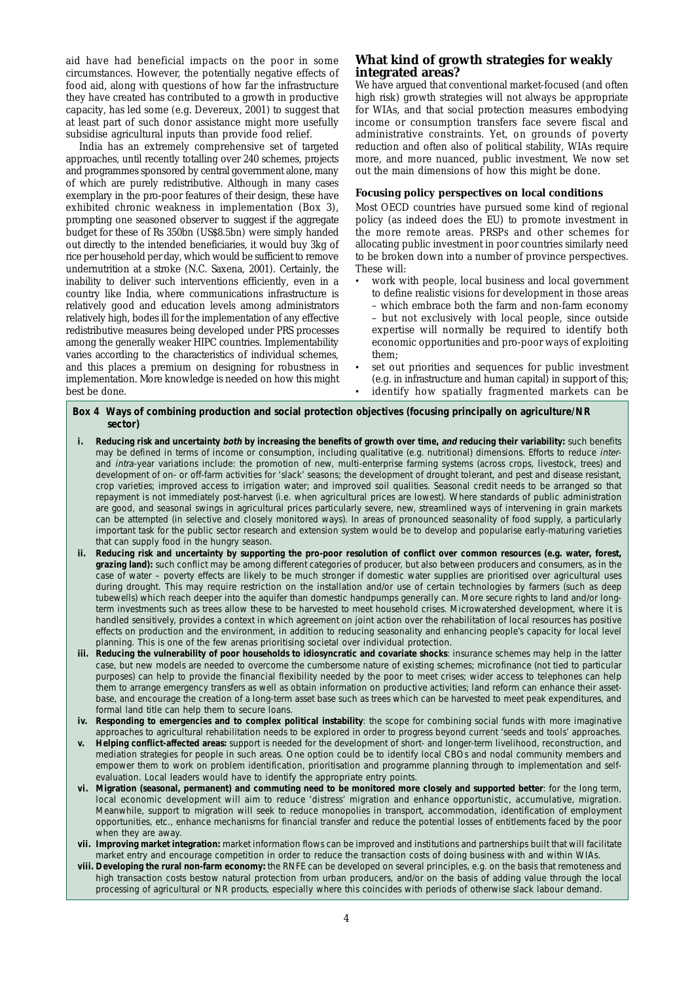aid have had beneficial impacts on the poor in some circumstances. However, the potentially negative effects of food aid, along with questions of how far the infrastructure they have created has contributed to a growth in productive capacity, has led some (e.g. Devereux, 2001) to suggest that at least part of such donor assistance might more usefully subsidise agricultural inputs than provide food relief.

India has an extremely comprehensive set of targeted approaches, until recently totalling over 240 schemes, projects and programmes sponsored by central government alone, many of which are purely redistributive. Although in many cases exemplary in the pro-poor features of their design, these have exhibited chronic weakness in implementation (Box 3), prompting one seasoned observer to suggest if the aggregate budget for these of Rs 350bn (US\$8.5bn) were simply handed out directly to the intended beneficiaries, it would buy 3kg of rice per household per day, which would be sufficient to remove undernutrition at a stroke (N.C. Saxena, 2001). Certainly, the inability to deliver such interventions efficiently, even in a country like India, where communications infrastructure is relatively good and education levels among administrators relatively high, bodes ill for the implementation of any effective redistributive measures being developed under PRS processes among the generally weaker HIPC countries. Implementability varies according to the characteristics of individual schemes, and this places a premium on designing for robustness in implementation. More knowledge is needed on how this might best be done.

# **What kind of growth strategies for weakly integrated areas?**

We have argued that conventional market-focused (and often high risk) growth strategies will not always be appropriate for WIAs, and that social protection measures embodying income or consumption transfers face severe fiscal and administrative constraints. Yet, on grounds of poverty reduction and often also of political stability, WIAs require more, and more nuanced, public investment. We now set out the main dimensions of how this might be done.

#### **Focusing policy perspectives on local conditions**

Most OECD countries have pursued some kind of regional policy (as indeed does the EU) to promote investment in the more remote areas. PRSPs and other schemes for allocating public investment in poor countries similarly need to be broken down into a number of province perspectives. These will:

- work with people, local business and local government to define realistic visions for development in those areas
	- which embrace both the farm and non-farm economy
- but not exclusively with local people, since outside expertise will normally be required to identify both economic opportunities and pro-poor ways of exploiting them;
- set out priorities and sequences for public investment (e.g. in infrastructure and human capital) in support of this; identify how spatially fragmented markets can be

#### **Box 4 Ways of combining production and social protection objectives (focusing principally on agriculture/NR sector)**

- **i. Reducing risk and uncertainty both by increasing the benefits of growth over time, and reducing their variability:** such benefits may be defined in terms of income or consumption, including qualitative (e.g. nutritional) dimensions. Efforts to reduce interand intra-year variations include: the promotion of new, multi-enterprise farming systems (across crops, livestock, trees) and development of on- or off-farm activities for 'slack' seasons; the development of drought tolerant, and pest and disease resistant, crop varieties; improved access to irrigation water; and improved soil qualities. Seasonal credit needs to be arranged so that repayment is not immediately post-harvest (i.e. when agricultural prices are lowest). Where standards of public administration are good, and seasonal swings in agricultural prices particularly severe, new, streamlined ways of intervening in grain markets can be attempted (in selective and closely monitored ways). In areas of pronounced seasonality of food supply, a particularly important task for the public sector research and extension system would be to develop and popularise early-maturing varieties that can supply food in the hungry season.
- **ii. Reducing risk and uncertainty by supporting the pro-poor resolution of conflict over common resources (e.g. water, forest, grazing land):** such conflict may be among different categories of producer, but also between producers and consumers, as in the case of water – poverty effects are likely to be much stronger if domestic water supplies are prioritised over agricultural uses during drought. This may require restriction on the installation and/or use of certain technologies by farmers (such as deep tubewells) which reach deeper into the aquifer than domestic handpumps generally can. More secure rights to land and/or longterm investments such as trees allow these to be harvested to meet household crises. Microwatershed development, where it is handled sensitively, provides a context in which agreement on joint action over the rehabilitation of local resources has positive effects on production and the environment, in addition to reducing seasonality and enhancing people's capacity for local level planning. This is one of the few arenas prioritising societal over individual protection.
- **iii. Reducing the vulnerability of poor households to idiosyncratic and covariate shocks**: insurance schemes may help in the latter case, but new models are needed to overcome the cumbersome nature of existing schemes; microfinance (not tied to particular purposes) can help to provide the financial flexibility needed by the poor to meet crises; wider access to telephones can help them to arrange emergency transfers as well as obtain information on productive activities; land reform can enhance their assetbase, and encourage the creation of a long-term asset base such as trees which can be harvested to meet peak expenditures, and formal land title can help them to secure loans.
- **iv. Responding to emergencies and to complex political instability**: the scope for combining social funds with more imaginative approaches to agricultural rehabilitation needs to be explored in order to progress beyond current 'seeds and tools' approaches.
- **v. Helping conflict-affected areas:** support is needed for the development of short- and longer-term livelihood, reconstruction, and mediation strategies for people in such areas. One option could be to identify local CBOs and nodal community members and empower them to work on problem identification, prioritisation and programme planning through to implementation and selfevaluation. Local leaders would have to identify the appropriate entry points.
- **vi. Migration (seasonal, permanent) and commuting need to be monitored more closely and supported better**: for the long term, local economic development will aim to reduce 'distress' migration and enhance opportunistic, accumulative, migration. Meanwhile, support to migration will seek to reduce monopolies in transport, accommodation, identification of employment opportunities, etc., enhance mechanisms for financial transfer and reduce the potential losses of entitlements faced by the poor when they are away
- **vii. Improving market integration:** market information flows can be improved and institutions and partnerships built that will facilitate market entry and encourage competition in order to reduce the transaction costs of doing business with and within WIAs.
- **viii. Developing the rural non-farm economy:** the RNFE can be developed on several principles, e.g. on the basis that remoteness and high transaction costs bestow natural protection from urban producers, and/or on the basis of adding value through the local processing of agricultural or NR products, especially where this coincides with periods of otherwise slack labour demand.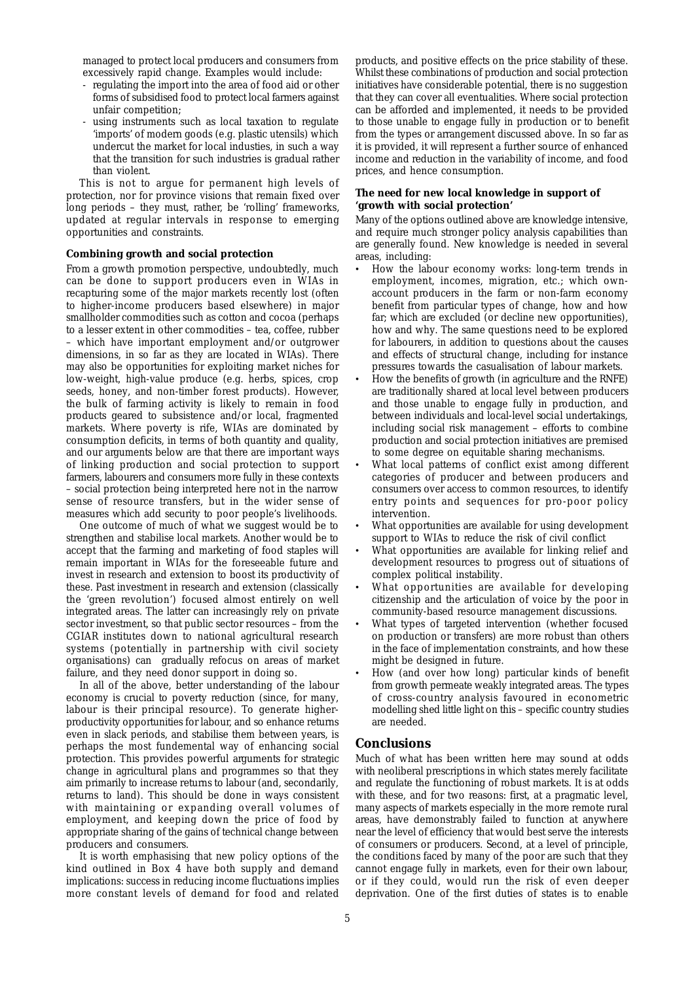managed to protect local producers and consumers from excessively rapid change. Examples would include:

- regulating the import into the area of food aid or other forms of subsidised food to protect local farmers against unfair competition;
- using instruments such as local taxation to regulate 'imports' of modern goods (e.g. plastic utensils) which undercut the market for local industies, in such a way that the transition for such industries is gradual rather than violent.

This is not to argue for permanent high levels of protection, nor for province visions that remain fixed over long periods – they must, rather, be 'rolling' frameworks, updated at regular intervals in response to emerging opportunities and constraints.

#### **Combining growth and social protection**

From a growth promotion perspective, undoubtedly, much can be done to support producers even in WIAs in recapturing some of the major markets recently lost (often to higher-income producers based elsewhere) in major smallholder commodities such as cotton and cocoa (perhaps to a lesser extent in other commodities – tea, coffee, rubber – which have important employment and/or outgrower dimensions, in so far as they are located in WIAs). There may also be opportunities for exploiting market niches for low-weight, high-value produce (e.g. herbs, spices, crop seeds, honey, and non-timber forest products). However, the bulk of farming activity is likely to remain in food products geared to subsistence and/or local, fragmented markets. Where poverty is rife, WIAs are dominated by consumption deficits, in terms of both quantity and quality, and our arguments below are that there are important ways of linking production and social protection to support farmers, labourers and consumers more fully in these contexts – social protection being interpreted here not in the narrow sense of resource transfers, but in the wider sense of measures which add security to poor people's livelihoods.

One outcome of much of what we suggest would be to strengthen and stabilise local markets. Another would be to accept that the farming and marketing of food staples will remain important in WIAs for the foreseeable future and invest in research and extension to boost its productivity of these. Past investment in research and extension (classically the 'green revolution') focused almost entirely on well integrated areas. The latter can increasingly rely on private sector investment, so that public sector resources – from the CGIAR institutes down to national agricultural research systems (potentially in partnership with civil society organisations) can gradually refocus on areas of market failure, and they need donor support in doing so.

In all of the above, better understanding of the labour economy is crucial to poverty reduction (since, for many, labour is their principal resource). To generate higherproductivity opportunities for labour, and so enhance returns even in slack periods, and stabilise them between years, is perhaps the most fundemental way of enhancing social protection. This provides powerful arguments for strategic change in agricultural plans and programmes so that they aim primarily to increase returns to labour (and, secondarily, returns to land). This should be done in ways consistent with maintaining or expanding overall volumes of employment, and keeping down the price of food by appropriate sharing of the gains of technical change between producers and consumers.

It is worth emphasising that new policy options of the kind outlined in Box 4 have both supply and demand implications: success in reducing income fluctuations implies more constant levels of demand for food and related products, and positive effects on the price stability of these. Whilst these combinations of production and social protection initiatives have considerable potential, there is no suggestion that they can cover all eventualities. Where social protection can be afforded and implemented, it needs to be provided to those unable to engage fully in production or to benefit from the types or arrangement discussed above. In so far as it is provided, it will represent a further source of enhanced income and reduction in the variability of income, and food prices, and hence consumption.

#### **The need for new local knowledge in support of 'growth with social protection'**

Many of the options outlined above are knowledge intensive, and require much stronger policy analysis capabilities than are generally found. New knowledge is needed in several areas, including:

- How the labour economy works: long-term trends in employment, incomes, migration, etc.; which ownaccount producers in the farm or non-farm economy benefit from particular types of change, how and how far; which are excluded (or decline new opportunities), how and why. The same questions need to be explored for labourers, in addition to questions about the causes and effects of structural change, including for instance pressures towards the casualisation of labour markets.
- How the benefits of growth (in agriculture and the RNFE) are traditionally shared at local level between producers and those unable to engage fully in production, and between individuals and local-level *social* undertakings, including social risk management – efforts to combine production and social protection initiatives are premised to some degree on equitable sharing mechanisms.
- What local patterns of conflict exist among different categories of producer and between producers and consumers over access to common resources, to identify entry points and sequences for pro-poor policy intervention.
- What opportunities are available for using development support to WIAs to reduce the risk of civil conflict
- What opportunities are available for linking relief and development resources to progress out of situations of complex political instability.
- What opportunities are available for developing citizenship and the articulation of voice by the poor in community-based resource management discussions.
- What types of targeted intervention (whether focused on production or transfers) are more robust than others in the face of implementation constraints, and how these might be designed in future.
- How (and over how long) particular kinds of benefit from growth permeate weakly integrated areas. The types of cross-country analysis favoured in econometric modelling shed little light on this – specific country studies are needed.

#### **Conclusions**

Much of what has been written here may sound at odds with neoliberal prescriptions in which states merely facilitate and regulate the functioning of robust markets. It *is* at odds with these, and for two reasons: first, at a pragmatic level, many aspects of markets especially in the more remote rural areas, have demonstrably failed to function at anywhere near the level of efficiency that would best serve the interests of consumers or producers. Second, at a level of principle, the conditions faced by many of the poor are such that they cannot engage fully in markets, even for their own labour, or if they could, would run the risk of even deeper deprivation. One of the first duties of states is to enable